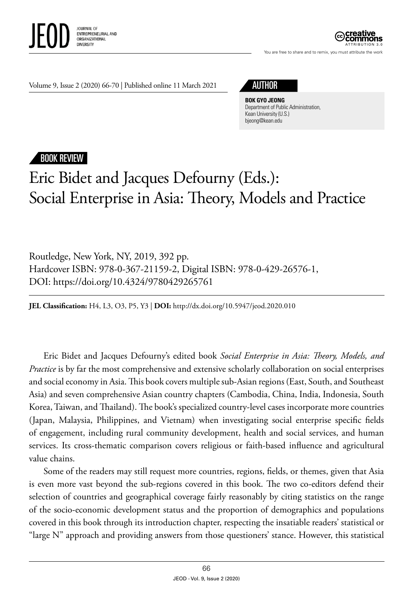



You are free to share and to remix, you must attribute the work

Volume 9, Issue 2 (2020) 66-70 | Published online 11 March 2021

**BOK GYO JEONG** Department of Public Administration, Kean University (U.S.) bjeong@kean.edu

## BOOK REVIEW

## Eric Bidet and Jacques Defourny (Eds.): Social Enterprise in Asia: Theory, Models and Practice

Routledge, New York, NY, 2019, 392 pp. Hardcover ISBN: 978-0-367-21159-2, Digital ISBN: 978-0-429-26576-1, DOI: https://doi.org/10.4324/9780429265761

**JEL Classification:** H4, L3, O3, P5, Y3 | **DOI:** http: /dx.doi.org/10.5947/jeod.2020.010

Eric Bidet and Jacques Defourny's edited book *Social Enterprise in Asia: Theory, Models, and Practice* is by far the most comprehensive and extensive scholarly collaboration on social enterprises and social economy in Asia. This book covers multiple sub-Asian regions (East, South, and Southeast Asia) and seven comprehensive Asian country chapters (Cambodia, China, India, Indonesia, South Korea, Taiwan, and Thailand). The book's specialized country-level cases incorporate more countries (Japan, Malaysia, Philippines, and Vietnam) when investigating social enterprise specific fields of engagement, including rural community development, health and social services, and human services. Its cross-thematic comparison covers religious or faith-based influence and agricultural value chains.

Some of the readers may still request more countries, regions, fields, or themes, given that Asia is even more vast beyond the sub-regions covered in this book. The two co-editors defend their selection of countries and geographical coverage fairly reasonably by citing statistics on the range of the socio-economic development status and the proportion of demographics and populations covered in this book through its introduction chapter, respecting the insatiable readers' statistical or "large N" approach and providing answers from those questioners' stance. However, this statistical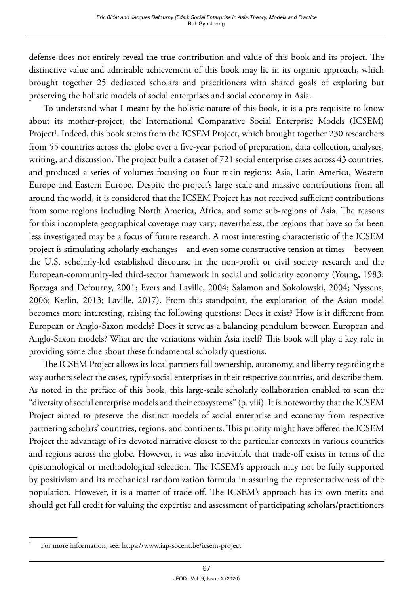defense does not entirely reveal the true contribution and value of this book and its project. The distinctive value and admirable achievement of this book may lie in its organic approach, which brought together 25 dedicated scholars and practitioners with shared goals of exploring but preserving the holistic models of social enterprises and social economy in Asia.

To understand what I meant by the holistic nature of this book, it is a pre-requisite to know about its mother-project, the International Comparative Social Enterprise Models (ICSEM) Project<sup>1</sup>. Indeed, this book stems from the ICSEM Project, which brought together 230 researchers from 55 countries across the globe over a five-year period of preparation, data collection, analyses, writing, and discussion. The project built a dataset of 721 social enterprise cases across 43 countries, and produced a series of volumes focusing on four main regions: Asia, Latin America, Western Europe and Eastern Europe. Despite the project's large scale and massive contributions from all around the world, it is considered that the ICSEM Project has not received sufficient contributions from some regions including North America, Africa, and some sub-regions of Asia. The reasons for this incomplete geographical coverage may vary; nevertheless, the regions that have so far been less investigated may be a focus of future research. A most interesting characteristic of the ICSEM project is stimulating scholarly exchanges—and even some constructive tension at times—between the U.S. scholarly-led established discourse in the non-profit or civil society research and the European-community-led third-sector framework in social and solidarity economy (Young, 1983; Borzaga and Defourny, 2001; Evers and Laville, 2004; Salamon and Sokolowski, 2004; Nyssens, 2006; Kerlin, 2013; Laville, 2017). From this standpoint, the exploration of the Asian model becomes more interesting, raising the following questions: Does it exist? How is it different from European or Anglo-Saxon models? Does it serve as a balancing pendulum between European and Anglo-Saxon models? What are the variations within Asia itself? This book will play a key role in providing some clue about these fundamental scholarly questions.

The ICSEM Project allows its local partners full ownership, autonomy, and liberty regarding the way authors select the cases, typify social enterprises in their respective countries, and describe them. As noted in the preface of this book, this large-scale scholarly collaboration enabled to scan the "diversity of social enterprise models and their ecosystems" (p. viii). It is noteworthy that the ICSEM Project aimed to preserve the distinct models of social enterprise and economy from respective partnering scholars' countries, regions, and continents. This priority might have offered the ICSEM Project the advantage of its devoted narrative closest to the particular contexts in various countries and regions across the globe. However, it was also inevitable that trade-off exists in terms of the epistemological or methodological selection. The ICSEM's approach may not be fully supported by positivism and its mechanical randomization formula in assuring the representativeness of the population. However, it is a matter of trade-off. The ICSEM's approach has its own merits and should get full credit for valuing the expertise and assessment of participating scholars/practitioners

<sup>1</sup> For more information, see: https://www.iap-socent.be/icsem-project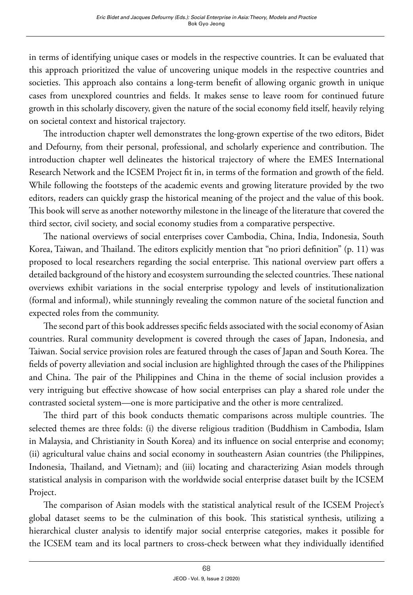in terms of identifying unique cases or models in the respective countries. It can be evaluated that this approach prioritized the value of uncovering unique models in the respective countries and societies. This approach also contains a long-term benefit of allowing organic growth in unique cases from unexplored countries and fields. It makes sense to leave room for continued future growth in this scholarly discovery, given the nature of the social economy field itself, heavily relying on societal context and historical trajectory.

The introduction chapter well demonstrates the long-grown expertise of the two editors, Bidet and Defourny, from their personal, professional, and scholarly experience and contribution. The introduction chapter well delineates the historical trajectory of where the EMES International Research Network and the ICSEM Project fit in, in terms of the formation and growth of the field. While following the footsteps of the academic events and growing literature provided by the two editors, readers can quickly grasp the historical meaning of the project and the value of this book. This book will serve as another noteworthy milestone in the lineage of the literature that covered the third sector, civil society, and social economy studies from a comparative perspective.

The national overviews of social enterprises cover Cambodia, China, India, Indonesia, South Korea, Taiwan, and Thailand. The editors explicitly mention that "no priori definition" (p. 11) was proposed to local researchers regarding the social enterprise. This national overview part offers a detailed background of the history and ecosystem surrounding the selected countries. These national overviews exhibit variations in the social enterprise typology and levels of institutionalization (formal and informal), while stunningly revealing the common nature of the societal function and expected roles from the community.

The second part of this book addresses specific fields associated with the social economy of Asian countries. Rural community development is covered through the cases of Japan, Indonesia, and Taiwan. Social service provision roles are featured through the cases of Japan and South Korea. The fields of poverty alleviation and social inclusion are highlighted through the cases of the Philippines and China. The pair of the Philippines and China in the theme of social inclusion provides a very intriguing but effective showcase of how social enterprises can play a shared role under the contrasted societal system—one is more participative and the other is more centralized.

The third part of this book conducts thematic comparisons across multiple countries. The selected themes are three folds: (i) the diverse religious tradition (Buddhism in Cambodia, Islam in Malaysia, and Christianity in South Korea) and its influence on social enterprise and economy; (ii) agricultural value chains and social economy in southeastern Asian countries (the Philippines, Indonesia, Thailand, and Vietnam); and (iii) locating and characterizing Asian models through statistical analysis in comparison with the worldwide social enterprise dataset built by the ICSEM Project.

The comparison of Asian models with the statistical analytical result of the ICSEM Project's global dataset seems to be the culmination of this book. This statistical synthesis, utilizing a hierarchical cluster analysis to identify major social enterprise categories, makes it possible for the ICSEM team and its local partners to cross-check between what they individually identified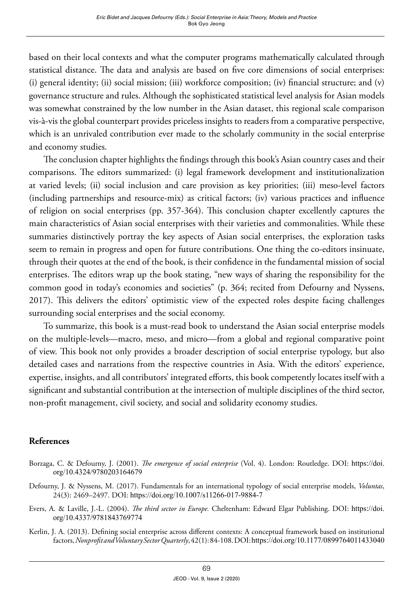based on their local contexts and what the computer programs mathematically calculated through statistical distance. The data and analysis are based on five core dimensions of social enterprises: (i) general identity; (ii) social mission; (iii) workforce composition; (iv) financial structure; and (v) governance structure and rules. Although the sophisticated statistical level analysis for Asian models was somewhat constrained by the low number in the Asian dataset, this regional scale comparison vis-à-vis the global counterpart provides priceless insights to readers from a comparative perspective, which is an unrivaled contribution ever made to the scholarly community in the social enterprise and economy studies.

The conclusion chapter highlights the findings through this book's Asian country cases and their comparisons. The editors summarized: (i) legal framework development and institutionalization at varied levels; (ii) social inclusion and care provision as key priorities; (iii) meso-level factors (including partnerships and resource-mix) as critical factors; (iv) various practices and influence of religion on social enterprises (pp. 357-364). This conclusion chapter excellently captures the main characteristics of Asian social enterprises with their varieties and commonalities. While these summaries distinctively portray the key aspects of Asian social enterprises, the exploration tasks seem to remain in progress and open for future contributions. One thing the co-editors insinuate, through their quotes at the end of the book, is their confidence in the fundamental mission of social enterprises. The editors wrap up the book stating, "new ways of sharing the responsibility for the common good in today's economies and societies" (p. 364; recited from Defourny and Nyssens, 2017). This delivers the editors' optimistic view of the expected roles despite facing challenges surrounding social enterprises and the social economy.

To summarize, this book is a must-read book to understand the Asian social enterprise models on the multiple-levels—macro, meso, and micro—from a global and regional comparative point of view. This book not only provides a broader description of social enterprise typology, but also detailed cases and narrations from the respective countries in Asia. With the editors' experience, expertise, insights, and all contributors' integrated efforts, this book competently locates itself with a significant and substantial contribution at the intersection of multiple disciplines of the third sector, non-profit management, civil society, and social and solidarity economy studies.

## **References**

- Borzaga, C. & Defourny, J. (2001). *The emergence of social enterprise* (Vol. 4). London: Routledge. DOI: [https://doi.](https://doi.org/10.4324/9780203164679) [org/10.4324/9780203164679](https://doi.org/10.4324/9780203164679)
- Defourny, J. & Nyssens, M. (2017). Fundamentals for an international typology of social enterprise models, *Voluntas*, 24(3): 2469–2497. DOI: <https://doi.org/10.1007/s11266-017-9884-7>
- Evers, A. & Laville, J.-L. (2004). *The third sector in Europe.* Cheltenham: Edward Elgar Publishing. DOI: [https://doi.](https://doi.org/10.4337/9781843769774) [org/10.4337/9781843769774](https://doi.org/10.4337/9781843769774)
- Kerlin, J. A. (2013). Defining social enterprise across different contexts: A conceptual framework based on institutional factors, *Nonprofit and Voluntary Sector Quarterly*, 42(1): 84-108. DOI: <https://doi.org/10.1177/0899764011433040>